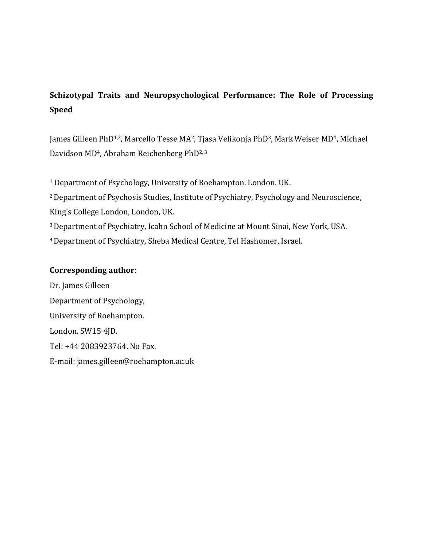# **Schizotypal Traits and Neuropsychological Performance: The Role of Processing Speed**

James Gilleen PhD<sup>1,2</sup>, Marcello Tesse MA<sup>2</sup>, Tjasa Velikonja PhD<sup>3</sup>, Mark Weiser MD<sup>4</sup>, Michael Davidson MD<sup>4</sup>, Abraham Reichenberg PhD<sup>2, 3</sup>

 Department of Psychology, University of Roehampton. London. UK. Department of Psychosis Studies, Institute of Psychiatry, Psychology and Neuroscience, King's College London, London, UK. Department of Psychiatry, Icahn School of Medicine at Mount Sinai, New York, USA. Department of Psychiatry, Sheba Medical Centre, Tel Hashomer, Israel.

# **Corresponding author**:

Dr. James Gilleen Department of Psychology, University of Roehampton. London. SW15 4JD. Tel: +44 2083923764. No Fax. E-mail: james.gilleen@roehampton.ac.uk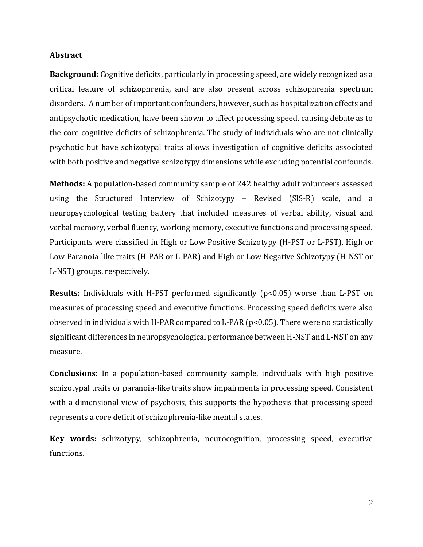## **Abstract**

**Background:** Cognitive deficits, particularly in processing speed, are widely recognized as a critical feature of schizophrenia, and are also present across schizophrenia spectrum disorders. A number of important confounders, however, such as hospitalization effects and antipsychotic medication, have been shown to affect processing speed, causing debate as to the core cognitive deficits of schizophrenia. The study of individuals who are not clinically psychotic but have schizotypal traits allows investigation of cognitive deficits associated with both positive and negative schizotypy dimensions while excluding potential confounds.

**Methods:** A population-based community sample of 242 healthy adult volunteers assessed using the Structured Interview of Schizotypy – Revised (SIS-R) scale, and a neuropsychological testing battery that included measures of verbal ability, visual and verbal memory, verbal fluency, working memory, executive functions and processing speed. Participants were classified in High or Low Positive Schizotypy (H-PST or L-PST), High or Low Paranoia-like traits (H-PAR or L-PAR) and High or Low Negative Schizotypy (H-NST or L-NST) groups, respectively.

**Results:** Individuals with H-PST performed significantly (p<0.05) worse than L-PST on measures of processing speed and executive functions. Processing speed deficits were also observed in individuals with H-PAR compared to L-PAR (p<0.05). There were no statistically significant differences in neuropsychological performance between H-NST and L-NST on any measure.

**Conclusions:** In a population-based community sample, individuals with high positive schizotypal traits or paranoia-like traits show impairments in processing speed. Consistent with a dimensional view of psychosis, this supports the hypothesis that processing speed represents a core deficit of schizophrenia-like mental states.

**Key words:** schizotypy, schizophrenia, neurocognition, processing speed, executive functions.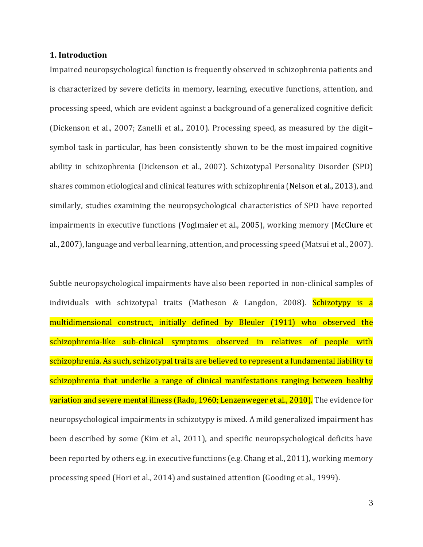# **1. Introduction**

Impaired neuropsychological function is frequently observed in schizophrenia patients and is characterized by severe deficits in memory, learning, executive functions, attention, and processing speed, which are evident against a background of a generalized cognitive deficit (Dickenson et al., 2007; Zanelli et al., 2010). Processing speed, as measured by the digit– symbol task in particular, has been consistently shown to be the most impaired cognitive ability in schizophrenia (Dickenson et al., 2007). Schizotypal Personality Disorder (SPD) shares common etiological and clinical features with schizophrenia (Nelson et al., 2013), and similarly, studies examining the neuropsychological characteristics of SPD have reported impairments in executive functions (Voglmaier et al., 2005), working memory (McClure et al., 2007), language and verbal learning, attention, and processing speed (Matsui et al., 2007).

Subtle neuropsychological impairments have also been reported in non-clinical samples of individuals with schizotypal traits (Matheson & Langdon, 2008). Schizotypy is a multidimensional construct, initially defined by Bleuler (1911) who observed the schizophrenia-like sub-clinical symptoms observed in relatives of people with schizophrenia. As such, schizotypal traits are believed to represent a fundamental liability to schizophrenia that underlie a range of clinical manifestations ranging between healthy variation and severe mental illness (Rado, 1960; Lenzenweger et al., 2010). The evidence for neuropsychological impairments in schizotypy is mixed. A mild generalized impairment has been described by some (Kim et al., 2011), and specific neuropsychological deficits have been reported by others e.g. in executive functions (e.g. Chang et al., 2011), working memory processing speed (Hori et al., 2014) and sustained attention (Gooding et al., 1999).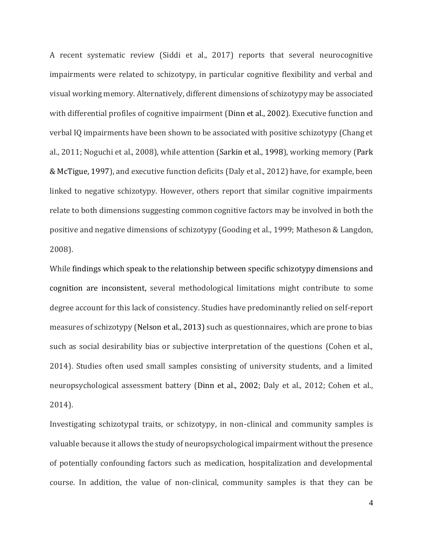A recent systematic review (Siddi et al., 2017) reports that several neurocognitive impairments were related to schizotypy, in particular cognitive flexibility and verbal and visual working memory. Alternatively, different dimensions of schizotypy may be associated with differential profiles of cognitive impairment (Dinn et al., 2002). Executive function and verbal IQ impairments have been shown to be associated with positive schizotypy (Chang et al., 2011; Noguchi et al., 2008), while attention (Sarkin et al., 1998), working memory (Park & McTigue, 1997), and executive function deficits (Daly et al., 2012) have, for example, been linked to negative schizotypy. However, others report that similar cognitive impairments relate to both dimensions suggesting common cognitive factors may be involved in both the positive and negative dimensions of schizotypy (Gooding et al., 1999; Matheson & Langdon, 2008).

While findings which speak to the relationship between specific schizotypy dimensions and cognition are inconsistent, several methodological limitations might contribute to some degree account for this lack of consistency. Studies have predominantly relied on self-report measures of schizotypy (Nelson et al., 2013) such as questionnaires, which are prone to bias such as social desirability bias or subjective interpretation of the questions (Cohen et al., 2014). Studies often used small samples consisting of university students, and a limited neuropsychological assessment battery (Dinn et al., 2002; Daly et al., 2012; Cohen et al., 2014).

Investigating schizotypal traits, or schizotypy, in non-clinical and community samples is valuable because it allows the study of neuropsychological impairment without the presence of potentially confounding factors such as medication, hospitalization and developmental course. In addition, the value of non-clinical, community samples is that they can be

4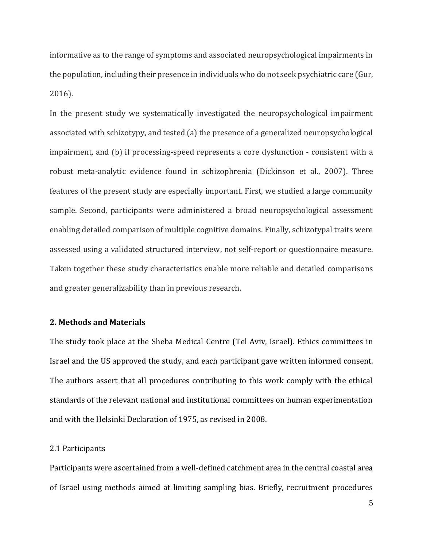informative as to the range of symptoms and associated neuropsychological impairments in the population, including their presence in individuals who do not seek psychiatric care (Gur, 2016).

In the present study we systematically investigated the neuropsychological impairment associated with schizotypy, and tested (a) the presence of a generalized neuropsychological impairment, and (b) if processing-speed represents a core dysfunction - consistent with a robust meta-analytic evidence found in schizophrenia (Dickinson et al., 2007). Three features of the present study are especially important. First, we studied a large community sample. Second, participants were administered a broad neuropsychological assessment enabling detailed comparison of multiple cognitive domains. Finally, schizotypal traits were assessed using a validated structured interview, not self-report or questionnaire measure. Taken together these study characteristics enable more reliable and detailed comparisons and greater generalizability than in previous research.

## **2. Methods and Materials**

The study took place at the Sheba Medical Centre (Tel Aviv, Israel). Ethics committees in Israel and the US approved the study, and each participant gave written informed consent. The authors assert that all procedures contributing to this work comply with the ethical standards of the relevant national and institutional committees on human experimentation and with the Helsinki Declaration of 1975, as revised in 2008.

#### 2.1 Participants

Participants were ascertained from a well-defined catchment area in the central coastal area of Israel using methods aimed at limiting sampling bias. Briefly, recruitment procedures

5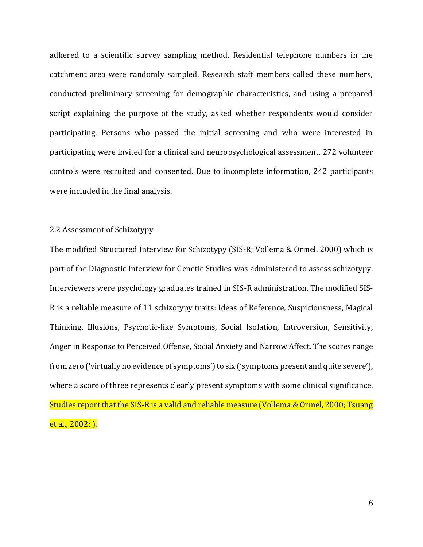adhered to a scientific survey sampling method. Residential telephone numbers in the catchment area were randomly sampled. Research staff members called these numbers, conducted preliminary screening for demographic characteristics, and using a prepared script explaining the purpose of the study, asked whether respondents would consider participating. Persons who passed the initial screening and who were interested in participating were invited for a clinical and neuropsychological assessment. 272 volunteer controls were recruited and consented. Due to incomplete information, 242 participants were included in the final analysis.

## 2.2 Assessment of Schizotypy

The modified Structured Interview for Schizotypy (SIS-R; Vollema & Ormel, 2000) which is part of the Diagnostic Interview for Genetic Studies was administered to assess schizotypy. Interviewers were psychology graduates trained in SIS-R administration. The modified SIS-R is a reliable measure of 11 schizotypy traits: Ideas of Reference, Suspiciousness, Magical Thinking, Illusions, Psychotic-like Symptoms, Social Isolation, Introversion, Sensitivity, Anger in Response to Perceived Offense, Social Anxiety and Narrow Affect. The scores range from zero ('virtually no evidence of symptoms') to six ('symptoms present and quite severe'), where a score of three represents clearly present symptoms with some clinical significance. Studies report that the SIS-R is a valid and reliable measure (Vollema & Ormel, 2000; Tsuang et al., 2002; ).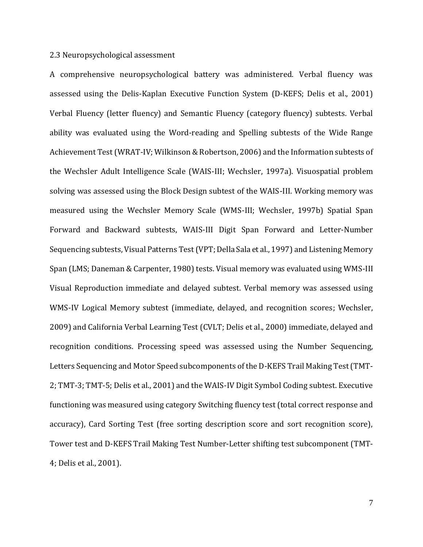### 2.3 Neuropsychological assessment

A comprehensive neuropsychological battery was administered. Verbal fluency was assessed using the Delis-Kaplan Executive Function System (D-KEFS; Delis et al., 2001) Verbal Fluency (letter fluency) and Semantic Fluency (category fluency) subtests. Verbal ability was evaluated using the Word-reading and Spelling subtests of the Wide Range Achievement Test (WRAT-IV; Wilkinson & Robertson, 2006) and the Information subtests of the Wechsler Adult Intelligence Scale (WAIS-III; Wechsler, 1997a). Visuospatial problem solving was assessed using the Block Design subtest of the WAIS-III. Working memory was measured using the Wechsler Memory Scale (WMS-III; Wechsler, 1997b) Spatial Span Forward and Backward subtests, WAIS-III Digit Span Forward and Letter-Number Sequencing subtests, Visual Patterns Test (VPT; Della Sala et al., 1997) and Listening Memory Span (LMS; Daneman & Carpenter, 1980) tests. Visual memory was evaluated using WMS-III Visual Reproduction immediate and delayed subtest. Verbal memory was assessed using WMS-IV Logical Memory subtest (immediate, delayed, and recognition scores; Wechsler, 2009) and California Verbal Learning Test (CVLT; Delis et al., 2000) immediate, delayed and recognition conditions. Processing speed was assessed using the Number Sequencing, Letters Sequencing and Motor Speed subcomponents of the D-KEFS Trail Making Test (TMT-2; TMT-3; TMT-5; Delis et al., 2001) and the WAIS-IV Digit Symbol Coding subtest. Executive functioning was measured using category Switching fluency test (total correct response and accuracy), Card Sorting Test (free sorting description score and sort recognition score), Tower test and D-KEFS Trail Making Test Number-Letter shifting test subcomponent (TMT-4; Delis et al., 2001).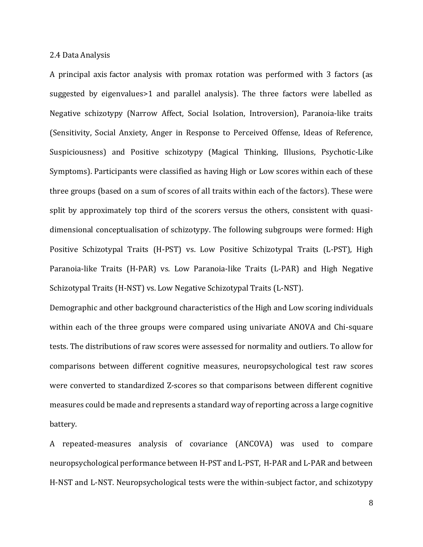#### 2.4 Data Analysis

A principal axis factor analysis with promax rotation was performed with 3 factors (as suggested by eigenvalues>1 and parallel analysis). The three factors were labelled as Negative schizotypy (Narrow Affect, Social Isolation, Introversion), Paranoia-like traits (Sensitivity, Social Anxiety, Anger in Response to Perceived Offense, Ideas of Reference, Suspiciousness) and Positive schizotypy (Magical Thinking, Illusions, Psychotic-Like Symptoms). Participants were classified as having High or Low scores within each of these three groups (based on a sum of scores of all traits within each of the factors). These were split by approximately top third of the scorers versus the others, consistent with quasidimensional conceptualisation of schizotypy. The following subgroups were formed: High Positive Schizotypal Traits (H-PST) vs. Low Positive Schizotypal Traits (L-PST), High Paranoia-like Traits (H-PAR) vs. Low Paranoia-like Traits (L-PAR) and High Negative Schizotypal Traits (H-NST) vs. Low Negative Schizotypal Traits (L-NST).

Demographic and other background characteristics of the High and Low scoring individuals within each of the three groups were compared using univariate ANOVA and Chi-square tests. The distributions of raw scores were assessed for normality and outliers. To allow for comparisons between different cognitive measures, neuropsychological test raw scores were converted to standardized Z-scores so that comparisons between different cognitive measures could be made and represents a standard way of reporting across a large cognitive battery.

A repeated-measures analysis of covariance (ANCOVA) was used to compare neuropsychological performance between H-PST and L-PST, H-PAR and L-PAR and between H-NST and L-NST. Neuropsychological tests were the within-subject factor, and schizotypy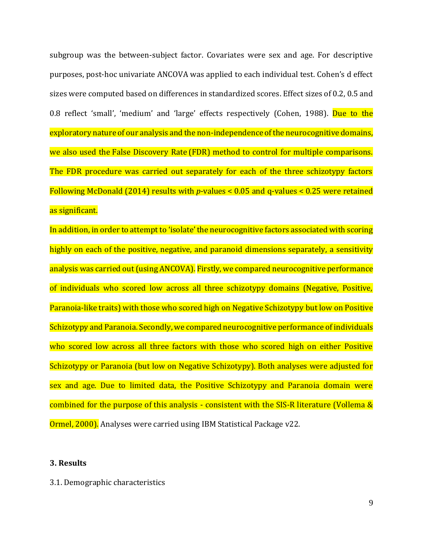subgroup was the between-subject factor. Covariates were sex and age. For descriptive purposes, post-hoc univariate ANCOVA was applied to each individual test. Cohen's d effect sizes were computed based on differences in standardized scores. Effect sizes of 0.2, 0.5 and 0.8 reflect 'small', 'medium' and 'large' effects respectively (Cohen, 1988). Due to the exploratory nature of our analysis and the non-independence of the neurocognitive domains, we also used the [False Discovery Rate](https://www-sciencedirect-com.eresources.mssm.edu/topics/neuroscience/false-discovery-rate) (FDR) method to control for multiple comparisons. The FDR procedure was carried out separately for each of the three schizotypy factors Following McDonald (2014) results with *p*-values < 0.05 and q-values < 0.25 were retained as significant.

In addition, in order to attempt to 'isolate' the neurocognitive factors associated with scoring highly on each of the positive, negative, and paranoid dimensions separately, a sensitivity analysis was carried out (using ANCOVA). Firstly, we compared neurocognitive performance of individuals who scored low across all three schizotypy domains (Negative, Positive, Paranoia-like traits) with those who scored high on Negative Schizotypy but low on Positive Schizotypy and Paranoia. Secondly, we compared neurocognitive performance of individuals who scored low across all three factors with those who scored high on either Positive Schizotypy or Paranoia (but low on Negative Schizotypy). Both analyses were adjusted for sex and age. Due to limited data, the Positive Schizotypy and Paranoia domain were combined for the purpose of this analysis - consistent with the SIS-R literature (Vollema & Ormel, 2000). Analyses were carried using IBM Statistical Package v22.

### **3. Results**

## 3.1. Demographic characteristics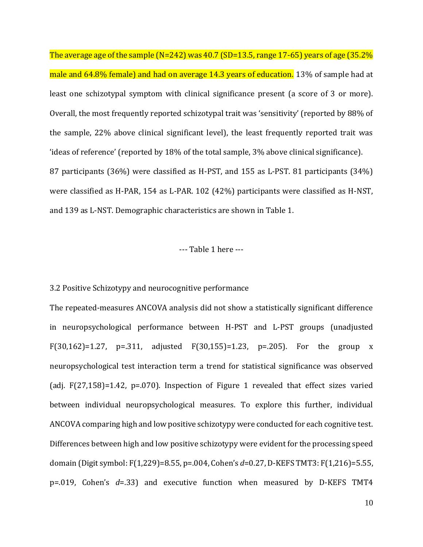The average age of the sample (N=242) was 40.7 (SD=13.5, range 17-65) years of age (35.2% male and 64.8% female) and had on average 14.3 years of education. 13% of sample had at least one schizotypal symptom with clinical significance present (a score of 3 or more). Overall, the most frequently reported schizotypal trait was 'sensitivity' (reported by 88% of the sample, 22% above clinical significant level), the least frequently reported trait was 'ideas of reference' (reported by 18% of the total sample, 3% above clinical significance). 87 participants (36%) were classified as H-PST, and 155 as L-PST. 81 participants (34%) were classified as H-PAR, 154 as L-PAR. 102 (42%) participants were classified as H-NST, and 139 as L-NST. Demographic characteristics are shown in Table 1.

#### --- Table 1 here ---

#### 3.2 Positive Schizotypy and neurocognitive performance

The repeated-measures ANCOVA analysis did not show a statistically significant difference in neuropsychological performance between H-PST and L-PST groups (unadjusted F(30,162)=1.27, p=.311, adjusted F(30,155)=1.23, p=.205). For the group x neuropsychological test interaction term a trend for statistical significance was observed (adj. F(27,158)=1.42, p=.070). Inspection of Figure 1 revealed that effect sizes varied between individual neuropsychological measures. To explore this further, individual ANCOVA comparing high and low positive schizotypy were conducted for each cognitive test. Differences between high and low positive schizotypy were evident for the processing speed domain (Digit symbol: F(1,229)=8.55, p=.004, Cohen's *d*=0.27,D-KEFS TMT3: F(1,216)=5.55, p=.019, Cohen's *d*=.33) and executive function when measured by D-KEFS TMT4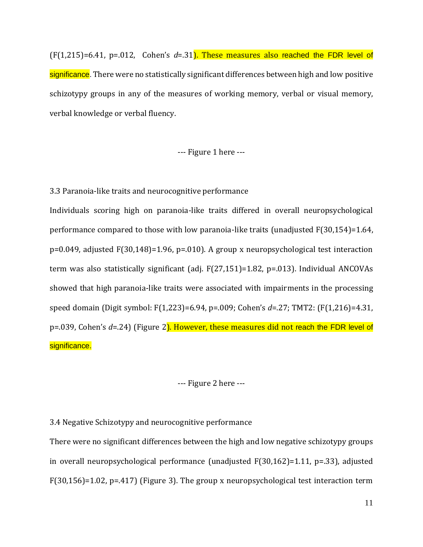(F(1,215)=6.41, p=.012, Cohen's *d*=.31). These measures also reached the FDR level of significance. There were no statistically significant differences between high and low positive schizotypy groups in any of the measures of working memory, verbal or visual memory, verbal knowledge or verbal fluency.

--- Figure 1 here ---

3.3 Paranoia-like traits and neurocognitive performance

Individuals scoring high on paranoia-like traits differed in overall neuropsychological performance compared to those with low paranoia-like traits (unadjusted F(30,154)=1.64, p=0.049, adjusted F(30,148)=1.96, p=.010). A group x neuropsychological test interaction term was also statistically significant (adj. F(27,151)=1.82, p=.013). Individual ANCOVAs showed that high paranoia-like traits were associated with impairments in the processing speed domain (Digit symbol: F(1,223)=6.94, p=.009; Cohen's *d*=.27; TMT2: (F(1,216)=4.31, p=.039, Cohen's *d*=.24) (Figure 2). However, these measures did not reach the FDR level of significance.

--- Figure 2 here ---

3.4 Negative Schizotypy and neurocognitive performance

There were no significant differences between the high and low negative schizotypy groups in overall neuropsychological performance (unadjusted F(30,162)=1.11, p=.33), adjusted F(30,156)=1.02, p=.417) (Figure 3). The group x neuropsychological test interaction term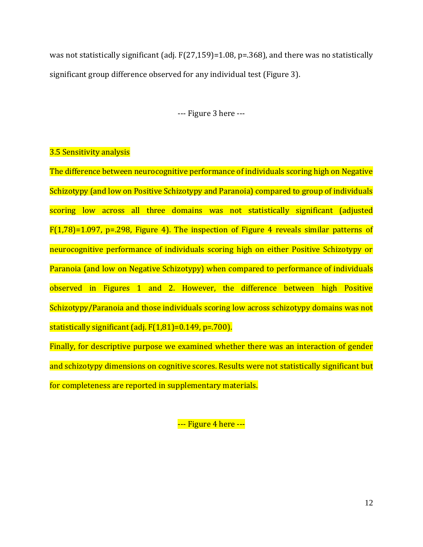was not statistically significant (adj. F(27,159)=1.08, p=.368), and there was no statistically significant group difference observed for any individual test (Figure 3).

--- Figure 3 here ---

# 3.5 Sensitivity analysis

The difference between neurocognitive performance of individuals scoring high on Negative Schizotypy (and low on Positive Schizotypy and Paranoia) compared to group of individuals scoring low across all three domains was not statistically significant (adjusted  $F(1,78)=1.097$ , p=.298, Figure 4). The inspection of Figure 4 reveals similar patterns of neurocognitive performance of individuals scoring high on either Positive Schizotypy or Paranoia (and low on Negative Schizotypy) when compared to performance of individuals observed in Figures 1 and 2. However, the difference between high Positive Schizotypy/Paranoia and those individuals scoring low across schizotypy domains was not statistically significant (adj. F(1,81)=0.149, p=.700).

Finally, for descriptive purpose we examined whether there was an interaction of gender and schizotypy dimensions on cognitive scores. Results were not statistically significant but for completeness are reported in supplementary materials.

--- Figure 4 here ---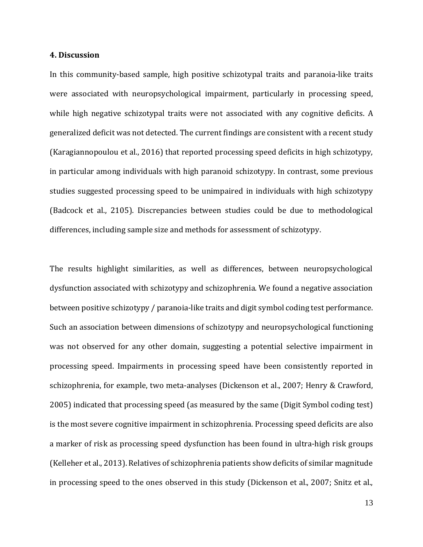#### **4. Discussion**

In this community-based sample, high positive schizotypal traits and paranoia-like traits were associated with neuropsychological impairment, particularly in processing speed, while high negative schizotypal traits were not associated with any cognitive deficits. A generalized deficit was not detected. The current findings are consistent with a recent study (Karagiannopoulou et al., 2016) that reported processing speed deficits in high schizotypy, in particular among individuals with high paranoid schizotypy. In contrast, some previous studies suggested processing speed to be unimpaired in individuals with high schizotypy (Badcock et al., 2105). Discrepancies between studies could be due to methodological differences, including sample size and methods for assessment of schizotypy.

The results highlight similarities, as well as differences, between neuropsychological dysfunction associated with schizotypy and schizophrenia. We found a negative association between positive schizotypy / paranoia-like traits and digit symbol coding test performance. Such an association between dimensions of schizotypy and neuropsychological functioning was not observed for any other domain, suggesting a potential selective impairment in processing speed. Impairments in processing speed have been consistently reported in schizophrenia, for example, two meta-analyses (Dickenson et al., 2007; Henry & Crawford, 2005) indicated that processing speed (as measured by the same (Digit Symbol coding test) is the most severe cognitive impairment in schizophrenia. Processing speed deficits are also a marker of risk as processing speed dysfunction has been found in ultra-high risk groups (Kelleher et al., 2013). Relatives of schizophrenia patients show deficits of similar magnitude in processing speed to the ones observed in this study (Dickenson et al., 2007; Snitz et al.,

13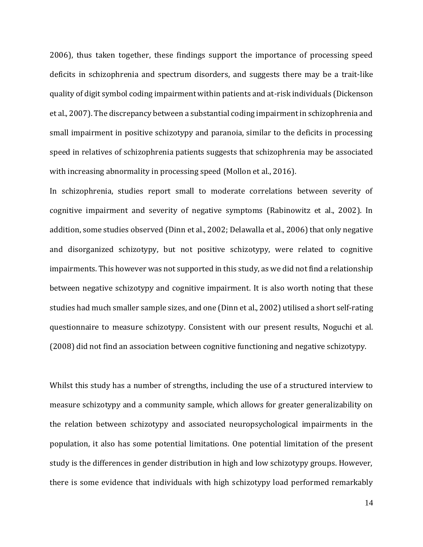2006), thus taken together, these findings support the importance of processing speed deficits in schizophrenia and spectrum disorders, and suggests there may be a trait-like quality of digit symbol coding impairment within patients and at-risk individuals (Dickenson et al., 2007). The discrepancy between a substantial coding impairment in schizophrenia and small impairment in positive schizotypy and paranoia, similar to the deficits in processing speed in relatives of schizophrenia patients suggests that schizophrenia may be associated with increasing abnormality in processing speed (Mollon et al., 2016).

In schizophrenia, studies report small to moderate correlations between severity of cognitive impairment and severity of negative symptoms (Rabinowitz et al., 2002). In addition, some studies observed (Dinn et al., 2002; Delawalla et al., 2006) that only negative and disorganized schizotypy, but not positive schizotypy, were related to cognitive impairments. This however was not supported in this study, as we did not find a relationship between negative schizotypy and cognitive impairment. It is also worth noting that these studies had much smaller sample sizes, and one (Dinn et al., 2002) utilised a short self-rating questionnaire to measure schizotypy. Consistent with our present results, Noguchi et al. (2008) did not find an association between cognitive functioning and negative schizotypy.

Whilst this study has a number of strengths, including the use of a structured interview to measure schizotypy and a community sample, which allows for greater generalizability on the relation between schizotypy and associated neuropsychological impairments in the population, it also has some potential limitations. One potential limitation of the present study is the differences in gender distribution in high and low schizotypy groups. However, there is some evidence that individuals with high schizotypy load performed remarkably

14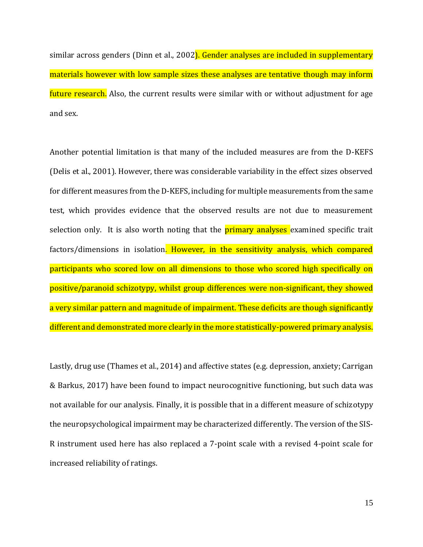similar across genders (Dinn et al., 2002). Gender analyses are included in supplementary materials however with low sample sizes these analyses are tentative though may inform future research. Also, the current results were similar with or without adjustment for age and sex.

Another potential limitation is that many of the included measures are from the D-KEFS (Delis et al., 2001). However, there was considerable variability in the effect sizes observed for different measures from the D-KEFS, including for multiple measurements from the same test, which provides evidence that the observed results are not due to measurement selection only. It is also worth noting that the **primary analyses** examined specific trait factors/dimensions in isolation. However, in the sensitivity analysis, which compared participants who scored low on all dimensions to those who scored high specifically on positive/paranoid schizotypy, whilst group differences were non-significant, they showed a very similar pattern and magnitude of impairment. These deficits are though significantly different and demonstrated more clearly in the more statistically-powered primary analysis.

Lastly, drug use (Thames et al., 2014) and affective states (e.g. depression, anxiety; Carrigan & Barkus, 2017) have been found to impact neurocognitive functioning, but such data was not available for our analysis. Finally, it is possible that in a different measure of schizotypy the neuropsychological impairment may be characterized differently. The version of the SIS-R instrument used here has also replaced a 7-point scale with a revised 4-point scale for increased reliability of ratings.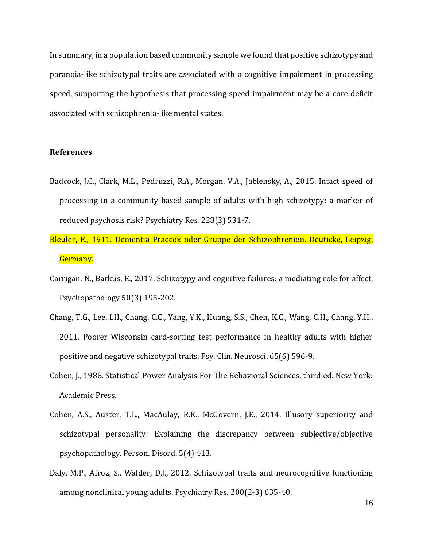In summary, in a population based community sample we found that positive schizotypy and paranoia-like schizotypal traits are associated with a cognitive impairment in processing speed, supporting the hypothesis that processing speed impairment may be a core deficit associated with schizophrenia-like mental states.

## **References**

- Badcock, J.C., Clark, M.L., Pedruzzi, R.A., Morgan, V.A., Jablensky, A., 2015. Intact speed of processing in a community-based sample of adults with high schizotypy: a marker of reduced psychosis risk? Psychiatry Res. 228(3) 531-7.
- Bleuler, E., 1911*.* Dementia Praecox oder Gruppe der Schizophrenien. Deuticke, Leipzig, Germany.
- Carrigan, N., Barkus, E., 2017. Schizotypy and cognitive failures: a mediating role for affect. Psychopathology 50(3) 195-202.
- Chang, T.G., Lee, I.H., Chang, C.C., Yang, Y.K., Huang, S.S., Chen, K.C., Wang, C.H., Chang, Y.H., 2011. Poorer Wisconsin card-sorting test performance in healthy adults with higher positive and negative schizotypal traits. Psy. Clin. Neurosci. 65(6) 596-9.
- Cohen, J., 1988. Statistical Power Analysis For The Behavioral Sciences, third ed. New York: Academic Press.
- Cohen, A.S., Auster, T.L., MacAulay, R.K., McGovern, J.E., 2014. Illusory superiority and schizotypal personality: Explaining the discrepancy between subjective/objective psychopathology. Person. Disord. 5(4) 413.
- Daly, M.P., Afroz, S., Walder, D.J., 2012. Schizotypal traits and neurocognitive functioning among nonclinical young adults. Psychiatry Res. 200(2-3) 635-40.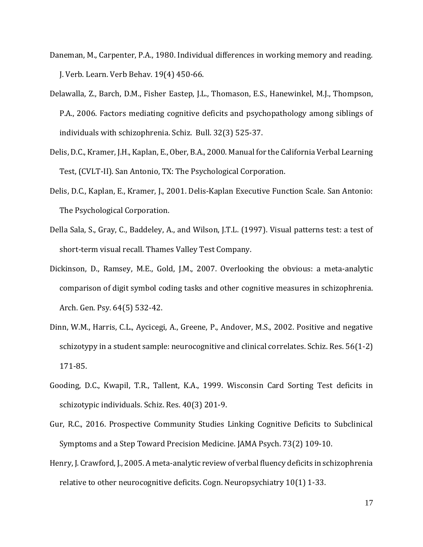- Daneman, M., Carpenter, P.A., 1980. Individual differences in working memory and reading. J. Verb. Learn. Verb Behav. 19(4) 450-66.
- Delawalla, Z., Barch, D.M., Fisher Eastep, J.L., Thomason, E.S., Hanewinkel, M.J., Thompson, P.A., 2006. Factors mediating cognitive deficits and psychopathology among siblings of individuals with schizophrenia. Schiz. Bull. 32(3) 525-37.
- Delis, D.C., Kramer, J.H., Kaplan, E., Ober, B.A., 2000. Manual for the California Verbal Learning Test, (CVLT-II). San Antonio, TX: The Psychological Corporation.
- Delis, D.C., Kaplan, E., Kramer, J., 2001. Delis-Kaplan Executive Function Scale. San Antonio: The Psychological Corporation.
- Della Sala, S., Gray, C., Baddeley, A., and Wilson, J.T.L. (1997). Visual patterns test: a test of short-term visual recall. Thames Valley Test Company.
- Dickinson, D., Ramsey, M.E., Gold, J.M., 2007. Overlooking the obvious: a meta-analytic comparison of digit symbol coding tasks and other cognitive measures in schizophrenia. Arch. Gen. Psy. 64(5) 532-42.
- Dinn, W.M., Harris, C.L., Aycicegi, A., Greene, P., Andover, M.S., 2002. Positive and negative schizotypy in a student sample: neurocognitive and clinical correlates. Schiz. Res. 56(1-2) 171-85.
- Gooding, D.C., Kwapil, T.R., Tallent, K.A., 1999. Wisconsin Card Sorting Test deficits in schizotypic individuals. Schiz. Res. 40(3) 201-9.
- Gur, R.C., 2016. Prospective Community Studies Linking Cognitive Deficits to Subclinical Symptoms and a Step Toward Precision Medicine. JAMA Psych. 73(2) 109-10.
- Henry, J. Crawford, J., 2005. A meta-analytic review of verbal fluency deficits in schizophrenia relative to other neurocognitive deficits. Cogn. Neuropsychiatry 10(1) 1-33.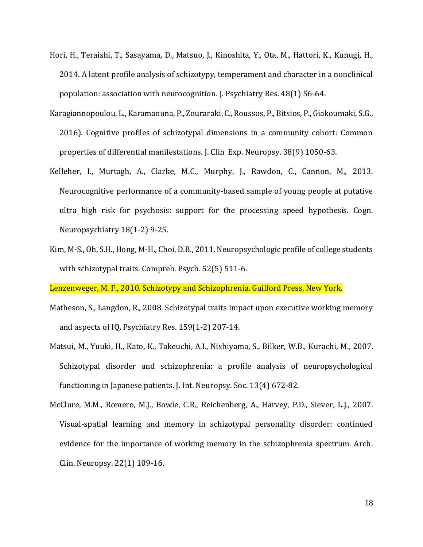- Hori, H., Teraishi, T., Sasayama, D., Matsuo, J., Kinoshita, Y., Ota, M., Hattori, K., Kunugi, H., 2014. A latent profile analysis of schizotypy, temperament and character in a nonclinical population: association with neurocognition. J. Psychiatry Res. 48(1) 56-64.
- Karagiannopoulou, L., Karamaouna, P., Zouraraki, C., Roussos, P., Bitsios, P., Giakoumaki,S.G., 2016). Cognitive profiles of schizotypal dimensions in a community cohort: Common properties of differential manifestations. J. Clin Exp. Neuropsy. 38(9) 1050-63.
- Kelleher, I., Murtagh, A., Clarke, M.C., Murphy, J., Rawdon, C., Cannon, M., 2013. Neurocognitive performance of a community-based sample of young people at putative ultra high risk for psychosis: support for the processing speed hypothesis. Cogn. Neuropsychiatry 18(1-2) 9-25.
- Kim, M-S., Oh, S.H., Hong, M-H., Choi, D.B., 2011. Neuropsychologic profile of college students with schizotypal traits. Compreh. Psych. 52(5) 511-6.

Lenzenweger, M. F., 2010*.* Schizotypy and Schizophrenia. Guilford Press, New York.

- Matheson, S., Langdon, R., 2008. Schizotypal traits impact upon executive working memory and aspects of IQ. Psychiatry Res. 159(1-2) 207-14.
- Matsui, M., Yuuki, H., Kato, K., Takeuchi, A.I., Nishiyama, S., Bilker, W.B., Kurachi, M., 2007. Schizotypal disorder and schizophrenia: a profile analysis of neuropsychological functioning in Japanese patients. J. Int. Neuropsy. Soc. 13(4) 672-82.
- McClure, M.M., Romero, M.J., Bowie, C.R., Reichenberg, A., Harvey, P.D., Siever, L.J., 2007. Visual-spatial learning and memory in schizotypal personality disorder: continued evidence for the importance of working memory in the schizophrenia spectrum. Arch. Clin. Neuropsy. 22(1) 109-16.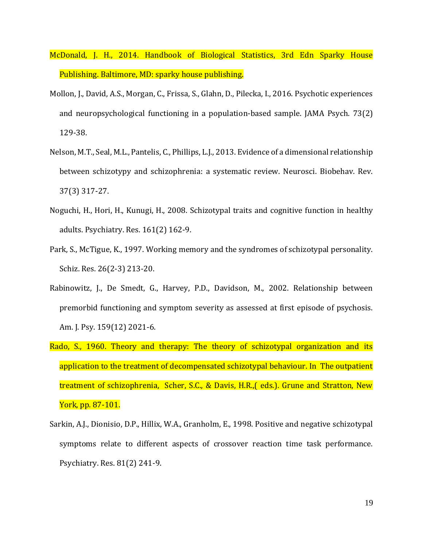- McDonald, J. H., 2014. Handbook of Biological Statistics, 3rd Edn Sparky House Publishing. Baltimore, MD: sparky house publishing.
- Mollon, J., David, A.S., Morgan, C., Frissa, S., Glahn, D., Pilecka, I., 2016. Psychotic experiences and neuropsychological functioning in a population-based sample. JAMA Psych. 73(2) 129-38.
- Nelson, M.T., Seal, M.L., Pantelis, C., Phillips, L.J., 2013. Evidence of a dimensional relationship between schizotypy and schizophrenia: a systematic review. Neurosci. Biobehav. Rev. 37(3) 317-27.
- Noguchi, H., Hori, H., Kunugi, H., 2008. Schizotypal traits and cognitive function in healthy adults. Psychiatry. Res. 161(2) 162-9.
- Park, S., McTigue, K., 1997. Working memory and the syndromes of schizotypal personality. Schiz. Res. 26(2-3) 213-20.
- Rabinowitz, J., De Smedt, G., Harvey, P.D., Davidson, M., 2002. Relationship between premorbid functioning and symptom severity as assessed at first episode of psychosis. Am. J. Psy. 159(12) 2021-6.
- Rado, S., 1960. Theory and therapy: The theory of schizotypal organization and its application to the treatment of decompensated schizotypal behaviour. In The outpatient treatment of schizophrenia, Scher, S.C., & Davis, H.R.,( eds.). Grune and Stratton, New York, pp. 87-101.
- Sarkin, A.J., Dionisio, D.P., Hillix, W.A., Granholm, E., 1998. Positive and negative schizotypal symptoms relate to different aspects of crossover reaction time task performance. Psychiatry. Res. 81(2) 241-9.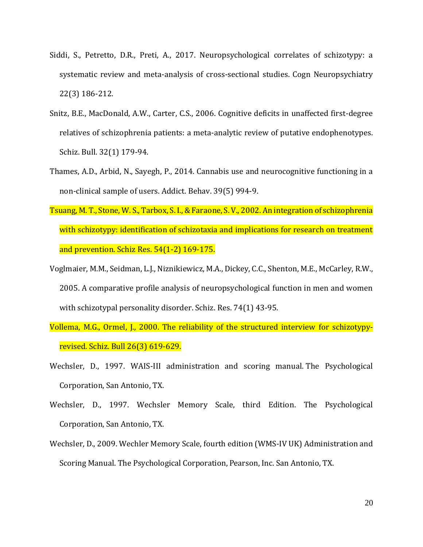- Siddi, S., Petretto, D.R., Preti, A., 2017. Neuropsychological correlates of schizotypy: a systematic review and meta-analysis of cross-sectional studies. Cogn Neuropsychiatry 22(3) 186-212.
- Snitz, B.E., MacDonald, A.W., Carter, C.S., 2006. Cognitive deficits in unaffected first-degree relatives of schizophrenia patients: a meta-analytic review of putative endophenotypes. Schiz. Bull. 32(1) 179-94.
- Thames, A.D., Arbid, N., Sayegh, P., 2014. Cannabis use and neurocognitive functioning in a non-clinical sample of users. Addict. Behav. 39(5) 994-9.
- Tsuang, M. T., Stone, W. S., Tarbox, S. I., & Faraone, S. V., 2002. An integration of schizophrenia with schizotypy: identification of schizotaxia and implications for research on treatment and prevention. Schiz Res. 54(1-2) 169-175.
- Voglmaier, M.M., Seidman, L.J., Niznikiewicz, M.A., Dickey, C.C., Shenton, M.E., McCarley, R.W., 2005. A comparative profile analysis of neuropsychological function in men and women with schizotypal personality disorder. Schiz. Res. 74(1) 43-95.
- Vollema, M.G., Ormel, J., 2000. The reliability of the structured interview for schizotypyrevised. Schiz. Bull 26(3) 619-629.
- Wechsler, D., 1997. WAIS-III administration and scoring manual. The Psychological Corporation, San Antonio, TX.
- Wechsler, D., 1997. Wechsler Memory Scale, third Edition. The Psychological Corporation, San Antonio, TX.
- Wechsler, D., 2009. Wechler Memory Scale, fourth edition (WMS-IV UK) Administration and Scoring Manual. The Psychological Corporation, Pearson, Inc. San Antonio, TX.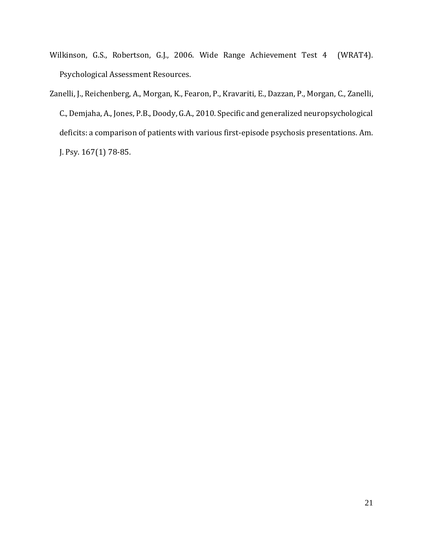- Wilkinson, G.S., Robertson, G.J., 2006. Wide Range Achievement Test 4 (WRAT4). Psychological Assessment Resources.
- Zanelli, J., Reichenberg, A., Morgan, K., Fearon, P., Kravariti, E., Dazzan, P., Morgan, C., Zanelli, C., Demjaha, A., Jones, P.B., Doody, G.A., 2010. Specific and generalized neuropsychological deficits: a comparison of patients with various first-episode psychosis presentations. Am. J. Psy. 167(1) 78-85.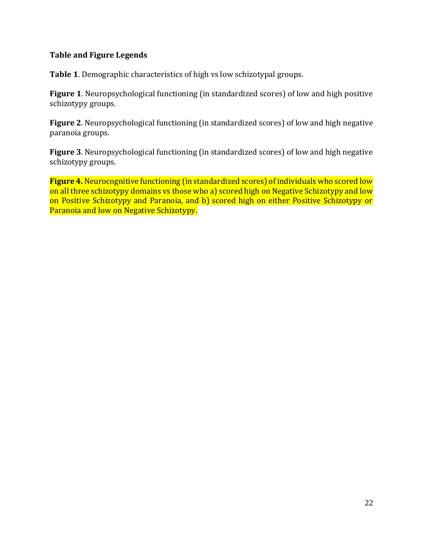# **Table and Figure Legends**

**Table 1**. Demographic characteristics of high vs low schizotypal groups.

**Figure 1**. Neuropsychological functioning (in standardized scores) of low and high positive schizotypy groups.

**Figure 2**. Neuropsychological functioning (in standardized scores) of low and high negative paranoia groups.

**Figure 3**. Neuropsychological functioning (in standardized scores) of low and high negative schizotypy groups.

**Figure 4.** Neurocognitive functioning (in standardized scores) of individuals who scored low on all three schizotypy domains vs those who a) scored high on Negative Schizotypy and low on Positive Schizotypy and Paranoia, and b) scored high on either Positive Schizotypy or Paranoia and low on Negative Schizotypy.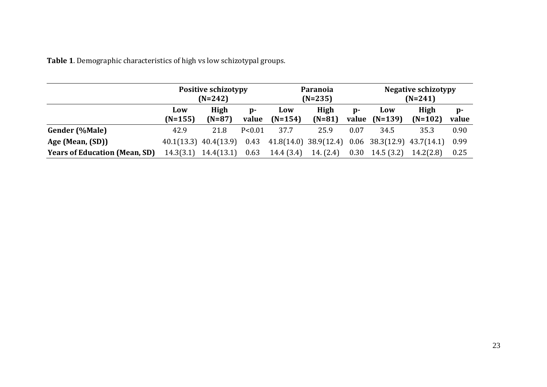**Table 1**. Demographic characteristics of high vs low schizotypal groups.

|                                      | <b>Positive schizotypy</b><br>$(N=242)$ |                           |                       | Paranoia<br>$(N=235)$                                             |                  |                       | <b>Negative schizotypy</b><br>$(N=241)$ |                   |                       |
|--------------------------------------|-----------------------------------------|---------------------------|-----------------------|-------------------------------------------------------------------|------------------|-----------------------|-----------------------------------------|-------------------|-----------------------|
|                                      | Low<br>$(N=155)$                        | High<br>$(N=87)$          | $\mathbf{D}$<br>value | Low<br>$(N=154)$                                                  | High<br>$(N=81)$ | $\mathbf{D}$<br>value | Low<br>$(N=139)$                        | High<br>$(N=102)$ | $\mathbf{p}$<br>value |
| <b>Gender (%Male)</b>                | 42.9                                    | 21.8                      | P < 0.01              | 37.7                                                              | 25.9             | 0.07                  | 34.5                                    | 35.3              | 0.90                  |
| Age (Mean, (SD))                     |                                         | $40.1(13.3)$ $40.4(13.9)$ |                       | $0.43$ $41.8(14.0)$ $38.9(12.4)$ $0.06$ $38.3(12.9)$ $43.7(14.1)$ |                  |                       |                                         |                   | 0.99                  |
| <b>Years of Education (Mean, SD)</b> | 14.3(3.1)                               | 14.4(13.1)                | 0.63                  | 14.4 (3.4)                                                        | 14. (2.4)        | 0.30                  | 14.5(3.2)                               | 14.2(2.8)         | 0.25                  |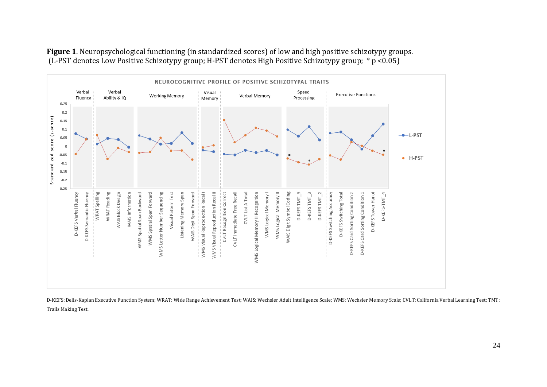

**Figure 1**. Neuropsychological functioning (in standardized scores) of low and high positive schizotypy groups. (L-PST denotes Low Positive Schizotypy group; H-PST denotes High Positive Schizotypy group; \* p <0.05)

D-KEFS: Delis-Kaplan Executive Function System; WRAT: Wide Range Achievement Test; WAIS: Wechsler Adult Intelligence Scale; WMS: Wechsler Memory Scale; CVLT: California Verbal Learning Test; TMT: Trails Making Test.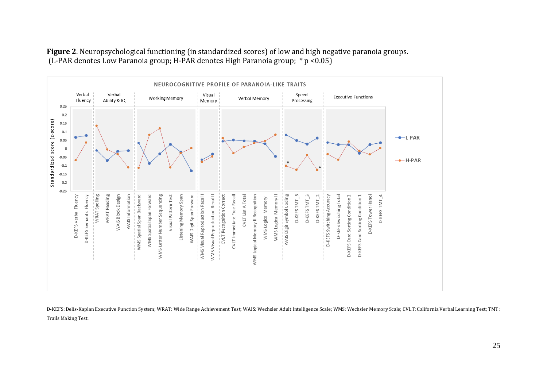

**Figure 2**. Neuropsychological functioning (in standardized scores) of low and high negative paranoia groups. (L-PAR denotes Low Paranoia group; H-PAR denotes High Paranoia group; \* p <0.05)

D-KEFS: Delis-Kaplan Executive Function System; WRAT: Wide Range Achievement Test; WAIS: Wechsler Adult Intelligence Scale; WMS: Wechsler Memory Scale; CVLT: California Verbal Learning Test; TMT: Trails Making Test.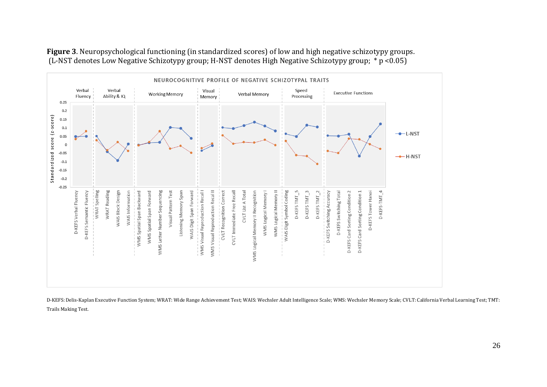

**Figure 3**. Neuropsychological functioning (in standardized scores) of low and high negative schizotypy groups. (L-NST denotes Low Negative Schizotypy group; H-NST denotes High Negative Schizotypy group; \* p <0.05)

D-KEFS: Delis-Kaplan Executive Function System; WRAT: Wide Range Achievement Test; WAIS: Wechsler Adult Intelligence Scale; WMS: Wechsler Memory Scale; CVLT: California Verbal Learning Test; TMT: Trails Making Test.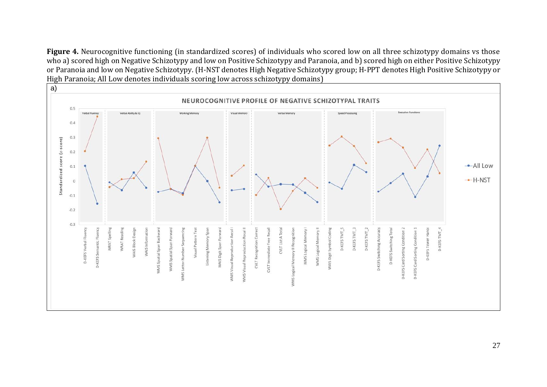Figure 4. Neurocognitive functioning (in standardized scores) of individuals who scored low on all three schizotypy domains vs those who a) scored high on Negative Schizotypy and low on Positive Schizotypy and Paranoia, and b) scored high on either Positive Schizotypy or Paranoia and low on Negative Schizotypy. (H-NST denotes High Negative Schizotypy group; H-PPT denotes High Positive Schizotypy or High Paranoia; All Low denotes individuals scoring low across schizotypy domains)